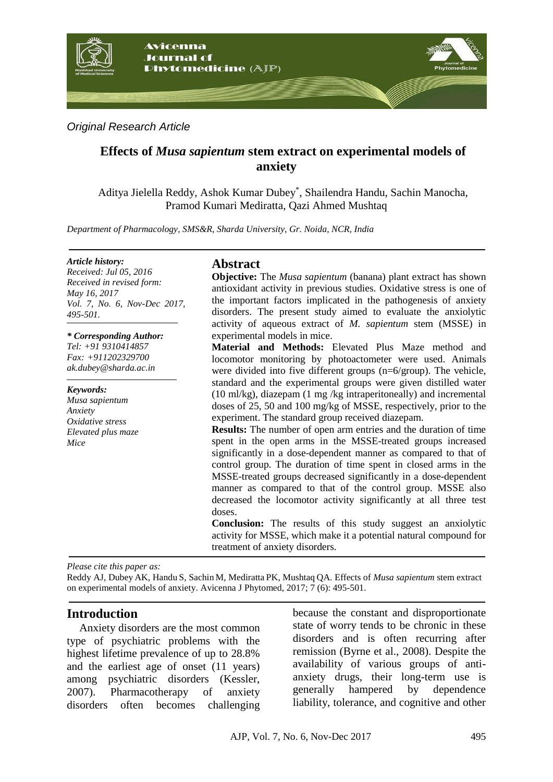

*Original Research Article*

# **Effects of** *Musa sapientum* **stem extract on experimental models of anxiety**

Aditya Jielella Reddy, Ashok Kumar Dubey\* , Shailendra Handu, Sachin Manocha, Pramod Kumari Mediratta, Qazi Ahmed Mushtaq

*Department of Pharmacology, SMS&R, Sharda University, Gr. Noida, NCR, India*

#### *Article history:*

*Received: Jul 05, 2016 Received in revised form: May 16, 2017 Vol. 7, No. 6, Nov-Dec 2017, 495-501.*

#### *\* Corresponding Author:*

*Tel: +91 9310414857 Fax: +911202329700 ak.dubey@sharda.ac.in*

*Keywords: Musa sapientum Anxiety Oxidative stress Elevated plus maze Mice*

## **Abstract**

**Objective:** The *Musa sapientum* (banana) plant extract has shown antioxidant activity in previous studies. Oxidative stress is one of the important factors implicated in the pathogenesis of anxiety disorders. The present study aimed to evaluate the anxiolytic activity of aqueous extract of *M. sapientum* stem (MSSE) in experimental models in mice.

**Material and Methods:** Elevated Plus Maze method and locomotor monitoring by photoactometer were used. Animals were divided into five different groups (n=6/group). The vehicle, standard and the experimental groups were given distilled water (10 ml/kg), diazepam (1 mg /kg intraperitoneally) and incremental doses of 25, 50 and 100 mg/kg of MSSE, respectively, prior to the experiment. The standard group received diazepam.

**Results:** The number of open arm entries and the duration of time spent in the open arms in the MSSE-treated groups increased significantly in a dose-dependent manner as compared to that of control group. The duration of time spent in closed arms in the MSSE-treated groups decreased significantly in a dose-dependent manner as compared to that of the control group. MSSE also decreased the locomotor activity significantly at all three test doses.

**Conclusion:** The results of this study suggest an anxiolytic activity for MSSE, which make it a potential natural compound for treatment of anxiety disorders.

*Please cite this paper as:* 

Reddy AJ, Dubey AK, Handu S, Sachin M, Mediratta PK, Mushtaq QA. Effects of *Musa sapientum* stem extract on experimental models of anxiety. Avicenna J Phytomed, 2017; 7 (6): 495-501.

## **Introduction**

Anxiety disorders are the most common type of psychiatric problems with the highest lifetime prevalence of up to 28.8% and the earliest age of onset (11 years) among psychiatric disorders (Kessler, 2007). Pharmacotherapy of anxiety disorders often becomes challenging because the constant and disproportionate state of worry tends to be chronic in these disorders and is often recurring after remission (Byrne et al., 2008). Despite the availability of various groups of antianxiety drugs, their long-term use is generally hampered by dependence liability, tolerance, and cognitive and other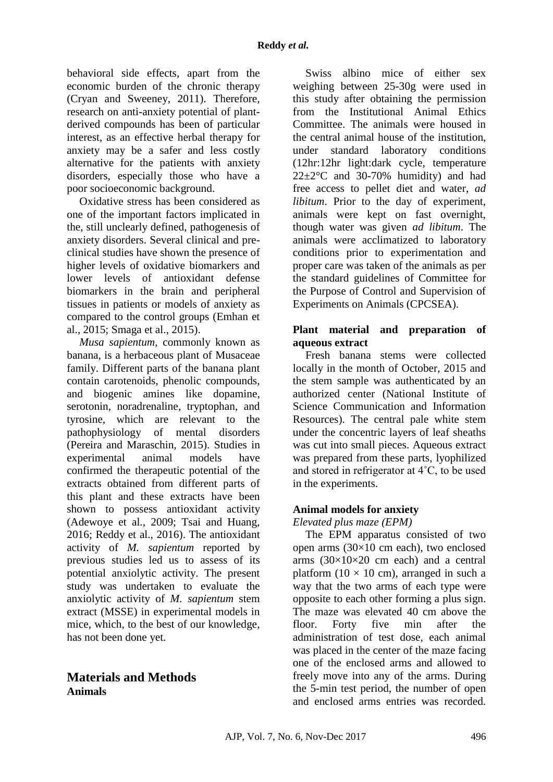behavioral side effects, apart from the economic burden of the chronic therapy (Cryan and Sweeney, 2011). Therefore, research on anti-anxiety potential of plantderived compounds has been of particular interest, as an effective herbal therapy for anxiety may be a safer and less costly alternative for the patients with anxiety disorders, especially those who have a poor socioeconomic background.

Oxidative stress has been considered as one of the important factors implicated in the, still unclearly defined, pathogenesis of anxiety disorders. Several clinical and preclinical studies have shown the presence of higher levels of oxidative biomarkers and lower levels of antioxidant defense biomarkers in the brain and peripheral tissues in patients or models of anxiety as compared to the control groups (Emhan et al., 2015; Smaga et al., 2015).

*Musa sapientum*, commonly known as banana, is a herbaceous plant of Musaceae family. Different parts of the banana plant contain carotenoids, phenolic compounds, and biogenic amines like dopamine, serotonin, noradrenaline, tryptophan, and tyrosine, which are relevant to the pathophysiology of mental disorders (Pereira and Maraschin, 2015). Studies in experimental animal models have confirmed the therapeutic potential of the extracts obtained from different parts of this plant and these extracts have been shown to possess antioxidant activity (Adewoye et al., 2009; Tsai and Huang, 2016; Reddy et al., 2016). The antioxidant activity of *M. sapientum* reported by previous studies led us to assess of its potential anxiolytic activity. The present study was undertaken to evaluate the anxiolytic activity of *M. sapientum* stem extract (MSSE) in experimental models in mice, which, to the best of our knowledge, has not been done yet.

# **Materials and Methods Animals**

Swiss albino mice of either sex weighing between 25-30g were used in this study after obtaining the permission from the Institutional Animal Ethics Committee. The animals were housed in the central animal house of the institution, under standard laboratory conditions (12hr:12hr light:dark cycle, temperature  $22 \pm 2$ °C and 30-70% humidity) and had free access to pellet diet and water, *ad libitum*. Prior to the day of experiment, animals were kept on fast overnight, though water was given *ad libitum*. The animals were acclimatized to laboratory conditions prior to experimentation and proper care was taken of the animals as per the standard guidelines of Committee for the Purpose of Control and Supervision of Experiments on Animals (CPCSEA).

### **Plant material and preparation of aqueous extract**

Fresh banana stems were collected locally in the month of October, 2015 and the stem sample was authenticated by an authorized center (National Institute of Science Communication and Information Resources). The central pale white stem under the concentric layers of leaf sheaths was cut into small pieces. Aqueous extract was prepared from these parts, lyophilized and stored in refrigerator at 4˚C, to be used in the experiments.

## **Animal models for anxiety**

*Elevated plus maze (EPM)*

The EPM apparatus consisted of two open arms (30×10 cm each), two enclosed arms  $(30\times10\times20$  cm each) and a central platform  $(10 \times 10 \text{ cm})$ , arranged in such a way that the two arms of each type were opposite to each other forming a plus sign. The maze was elevated 40 cm above the floor. Forty five min after the administration of test dose, each animal was placed in the center of the maze facing one of the enclosed arms and allowed to freely move into any of the arms. During the 5-min test period, the number of open and enclosed arms entries was recorded.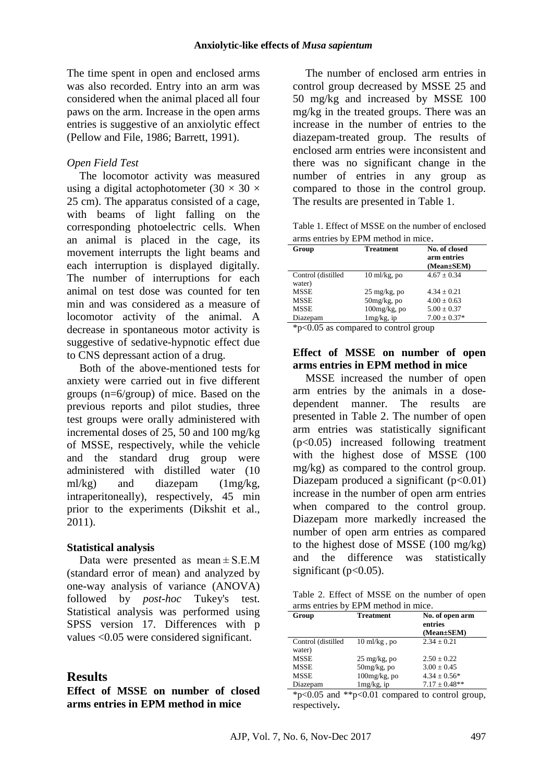The time spent in open and enclosed arms was also recorded. Entry into an arm was considered when the animal placed all four paws on the arm. Increase in the open arms entries is suggestive of an anxiolytic effect (Pellow and File, 1986; Barrett, 1991).

### *Open Field Test*

The locomotor activity was measured using a digital actophotometer  $(30 \times 30 \times$ 25 cm). The apparatus consisted of a cage, with beams of light falling on the corresponding photoelectric cells. When an animal is placed in the cage, its movement interrupts the light beams and each interruption is displayed digitally. The number of interruptions for each animal on test dose was counted for ten min and was considered as a measure of locomotor activity of the animal. A decrease in spontaneous motor activity is suggestive of sedative-hypnotic effect due to CNS depressant action of a drug.

Both of the above-mentioned tests for anxiety were carried out in five different groups (n=6/group) of mice. Based on the previous reports and pilot studies, three test groups were orally administered with incremental doses of 25, 50 and 100 mg/kg of MSSE, respectively, while the vehicle and the standard drug group were administered with distilled water (10 ml/kg) and diazepam (1mg/kg, intraperitoneally), respectively, 45 min prior to the experiments (Dikshit et al., 2011).

### **Statistical analysis**

Data were presented as mean  $\pm$  S.E.M (standard error of mean) and analyzed by one-way analysis of variance (ANOVA) followed by *post-hoc* Tukey's test. Statistical analysis was performed using SPSS version 17. Differences with p values <0.05 were considered significant.

## **Results**

**Effect of MSSE on number of closed arms entries in EPM method in mice** 

The number of enclosed arm entries in control group decreased by MSSE 25 and 50 mg/kg and increased by MSSE 100 mg/kg in the treated groups. There was an increase in the number of entries to the diazepam-treated group. The results of enclosed arm entries were inconsistent and there was no significant change in the number of entries in any group as compared to those in the control group. The results are presented in Table 1.

Table 1. Effect of MSSE on the number of enclosed arms entries by EPM method in mice.

| Group                        | <b>Treatment</b>        | No. of closed<br>arm entries<br>(Mean±SEM) |
|------------------------------|-------------------------|--------------------------------------------|
| Control (distilled<br>water) | $10 \text{ ml/kg}$ , po | $4.67 \pm 0.34$                            |
| <b>MSSE</b>                  | $25 \text{ mg/kg}$ , po | $4.34 + 0.21$                              |
| <b>MSSE</b>                  | $50mg/kg$ , po          | $4.00 \pm 0.63$                            |
| <b>MSSE</b>                  | $100$ mg/kg, po         | $5.00 \pm 0.37$                            |
| Diazepam                     | $1mg/kg$ , ip           | $7.00 \pm 0.37*$                           |
| $\sim$ $\sim$ $\sim$         | $\blacksquare$          |                                            |

\*p<0.05 as compared to control group

### **Effect of MSSE on number of open arms entries in EPM method in mice**

MSSE increased the number of open arm entries by the animals in a dosedependent manner. The results are presented in Table 2. The number of open arm entries was statistically significant (p<0.05) increased following treatment with the highest dose of MSSE (100 mg/kg) as compared to the control group. Diazepam produced a significant  $(p<0.01)$ increase in the number of open arm entries when compared to the control group. Diazepam more markedly increased the number of open arm entries as compared to the highest dose of MSSE (100 mg/kg) and the difference was statistically significant ( $p<0.05$ ).

|                                     | Table 2. Effect of MSSE on the number of open |  |  |  |  |
|-------------------------------------|-----------------------------------------------|--|--|--|--|
| arms entries by EPM method in mice. |                                               |  |  |  |  |

| Group                        | <b>Treatment</b>        | No. of open arm<br>entries<br>(Mean±SEM) |
|------------------------------|-------------------------|------------------------------------------|
| Control (distilled<br>water) | $10 \text{ ml/kg}$ , po | $2.34 \pm 0.21$                          |
| <b>MSSE</b>                  | $25 \text{ mg/kg}$ , po | $2.50 + 0.22$                            |
| <b>MSSE</b>                  | $50mg/kg$ , po          | $3.00 \pm 0.45$                          |
| <b>MSSE</b>                  | $100mg/kg$ , po         | $4.34 \pm 0.56*$                         |
| Diazepam                     | $1mg/kg$ , ip           | $7.17 \pm 0.48**$                        |

\*p<0.05 and \*\*p<0.01 compared to control group, respectively**.**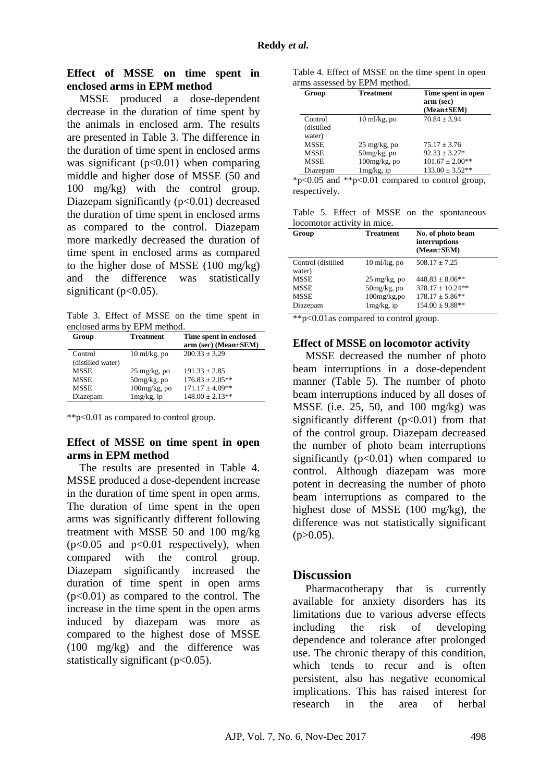#### **Effect of MSSE on time spent in enclosed arms in EPM method**

MSSE produced a dose-dependent decrease in the duration of time spent by the animals in enclosed arm. The results are presented in Table 3. The difference in the duration of time spent in enclosed arms was significant  $(p<0.01)$  when comparing middle and higher dose of MSSE (50 and 100 mg/kg) with the control group. Diazepam significantly  $(p<0.01)$  decreased the duration of time spent in enclosed arms as compared to the control. Diazepam more markedly decreased the duration of time spent in enclosed arms as compared to the higher dose of MSSE (100 mg/kg) and the difference was statistically significant ( $p<0.05$ ).

Table 3. Effect of MSSE on the time spent in enclosed arms by EPM method.

| Group             | Treatment               | Time spent in enclosed<br>$arm (sec) (Mean \pm SEM)$ |
|-------------------|-------------------------|------------------------------------------------------|
| Control           | $10 \text{ ml/kg}$ , po | $200.33 \pm 3.29$                                    |
| (distilled water) |                         |                                                      |
| <b>MSSE</b>       | $25 \text{ mg/kg}$ , po | $191.33 \pm 2.85$                                    |
| <b>MSSE</b>       | $50mg/kg$ , po          | $176.83 \pm 2.05***$                                 |
| <b>MSSE</b>       | $100$ mg/kg, po         | $171.17 \pm 4.09**$                                  |
| Diazepam          | $1mg/kg$ , ip           | $148.00 \pm 2.13**$                                  |

\*\*p<0.01 as compared to control group.

#### **Effect of MSSE on time spent in open arms in EPM method**

The results are presented in Table 4. MSSE produced a dose-dependent increase in the duration of time spent in open arms. The duration of time spent in the open arms was significantly different following treatment with MSSE 50 and 100 mg/kg  $(p<0.05$  and  $p<0.01$  respectively), when compared with the control group. Diazepam significantly increased the duration of time spent in open arms  $(p<0.01)$  as compared to the control. The increase in the time spent in the open arms induced by diazepam was more as compared to the highest dose of MSSE (100 mg/kg) and the difference was statistically significant  $(p<0.05)$ .

| Table 4. Effect of MSSE on the time spent in open |  |
|---------------------------------------------------|--|
| arms assessed by EPM method.                      |  |

| Group       | <b>Treatment</b>        | Time spent in open<br>arm (sec)<br>(Mean±SEM) |
|-------------|-------------------------|-----------------------------------------------|
| Control     | $10 \text{ ml/kg}$ , po | $70.84 \pm 3.94$                              |
| (distilled  |                         |                                               |
| water)      |                         |                                               |
| <b>MSSE</b> | $25 \text{ mg/kg}$ , po | $75.17 + 3.76$                                |
| <b>MSSE</b> | $50mg/kg$ , po          | $92.33 + 3.27*$                               |
| MSSE        | $100$ mg/kg, po         | $101.67 \pm 2.00**$                           |
| Diazepam    | $1mg/kg$ , ip           | $133.00 \pm 3.52**$                           |

\*p<0.05 and \*\*p<0.01 compared to control group, respectively.

Table 5. Effect of MSSE on the spontaneous locomotor activity in mice.

| Group                        | <b>Treatment</b>        | No. of photo beam<br>interruptions<br>(Mean±SEM) |
|------------------------------|-------------------------|--------------------------------------------------|
| Control (distilled<br>water) | $10 \text{ ml/kg}$ , po | $508.17 \pm 7.25$                                |
| <b>MSSE</b>                  | $25 \text{ mg/kg}$ , po | $448.83 + 8.06**$                                |
| <b>MSSE</b>                  | $50mg/kg$ , po          | $378.17 \pm 10.24**$                             |
| <b>MSSE</b>                  | $100$ mg/ $kg$ ,po      | $178.17 \pm 5.86***$                             |
| Diazepam                     | $1mg/kg$ , ip           | $154.00 \pm 9.88**$                              |

\*\*p<0.01as compared to control group.

#### **Effect of MSSE on locomotor activity**

MSSE decreased the number of photo beam interruptions in a dose-dependent manner (Table 5). The number of photo beam interruptions induced by all doses of MSSE (i.e. 25, 50, and 100 mg/kg) was significantly different  $(p<0.01)$  from that of the control group. Diazepam decreased the number of photo beam interruptions significantly  $(p<0.01)$  when compared to control. Although diazepam was more potent in decreasing the number of photo beam interruptions as compared to the highest dose of MSSE (100 mg/kg), the difference was not statistically significant  $(p>0.05)$ .

### **Discussion**

Pharmacotherapy that is currently available for anxiety disorders has its limitations due to various adverse effects including the risk of developing dependence and tolerance after prolonged use. The chronic therapy of this condition, which tends to recur and is often persistent, also has negative economical implications. This has raised interest for research in the area of herbal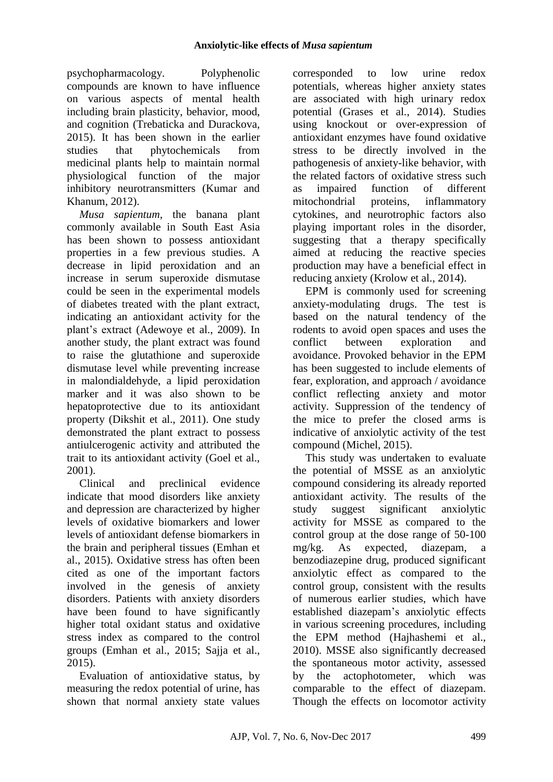psychopharmacology. Polyphenolic compounds are known to have influence on various aspects of mental health including brain plasticity, behavior, mood, and cognition (Trebaticka and Durackova, 2015). It has been shown in the earlier studies that phytochemicals from medicinal plants help to maintain normal physiological function of the major inhibitory neurotransmitters (Kumar and Khanum, 2012).

*Musa sapientum*, the banana plant commonly available in South East Asia has been shown to possess antioxidant properties in a few previous studies. A decrease in lipid peroxidation and an increase in serum superoxide dismutase could be seen in the experimental models of diabetes treated with the plant extract, indicating an antioxidant activity for the plant's extract (Adewoye et al., 2009). In another study, the plant extract was found to raise the glutathione and superoxide dismutase level while preventing increase in malondialdehyde, a lipid peroxidation marker and it was also shown to be hepatoprotective due to its antioxidant property (Dikshit et al., 2011). One study demonstrated the plant extract to possess antiulcerogenic activity and attributed the trait to its antioxidant activity (Goel et al., 2001).

Clinical and preclinical evidence indicate that mood disorders like anxiety and depression are characterized by higher levels of oxidative biomarkers and lower levels of antioxidant defense biomarkers in the brain and peripheral tissues (Emhan et al., 2015). Oxidative stress has often been cited as one of the important factors involved in the genesis of anxiety disorders. Patients with anxiety disorders have been found to have significantly higher total oxidant status and oxidative stress index as compared to the control groups (Emhan et al., 2015; Sajja et al., 2015).

Evaluation of antioxidative status, by measuring the redox potential of urine, has shown that normal anxiety state values

corresponded to low urine redox potentials, whereas higher anxiety states are associated with high urinary redox potential (Grases et al., 2014). Studies using knockout or over-expression of antioxidant enzymes have found oxidative stress to be directly involved in the pathogenesis of anxiety-like behavior, with the related factors of oxidative stress such as impaired function of different mitochondrial proteins, inflammatory cytokines, and neurotrophic factors also playing important roles in the disorder, suggesting that a therapy specifically aimed at reducing the reactive species production may have a beneficial effect in reducing anxiety (Krolow et al., 2014).

EPM is commonly used for screening anxiety-modulating drugs. The test is based on the natural tendency of the rodents to avoid open spaces and uses the conflict between exploration and avoidance. Provoked behavior in the EPM has been suggested to include elements of fear, exploration, and approach / avoidance conflict reflecting anxiety and motor activity. Suppression of the tendency of the mice to prefer the closed arms is indicative of anxiolytic activity of the test compound (Michel, 2015).

This study was undertaken to evaluate the potential of MSSE as an anxiolytic compound considering its already reported antioxidant activity. The results of the study suggest significant anxiolytic activity for MSSE as compared to the control group at the dose range of 50-100 mg/kg. As expected, diazepam, a benzodiazepine drug, produced significant anxiolytic effect as compared to the control group, consistent with the results of numerous earlier studies, which have established diazepam's anxiolytic effects in various screening procedures, including the EPM method (Hajhashemi et al., 2010). MSSE also significantly decreased the spontaneous motor activity, assessed by the actophotometer, which was comparable to the effect of diazepam. Though the effects on locomotor activity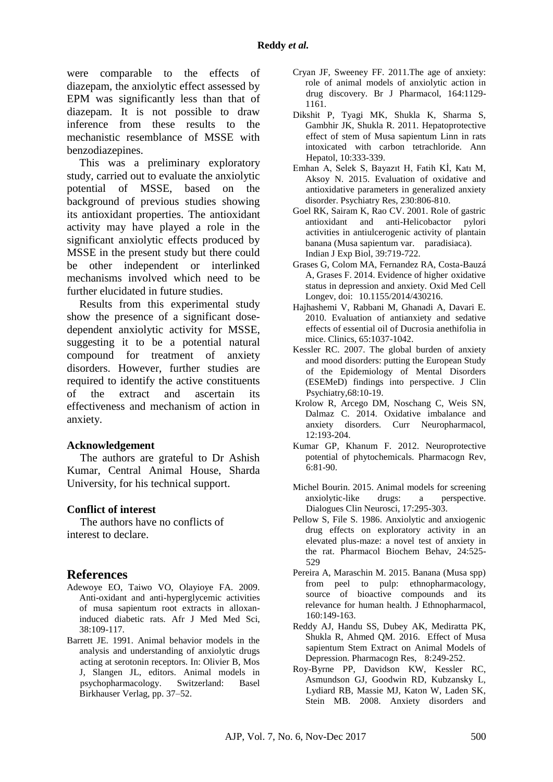were comparable to the effects of diazepam, the anxiolytic effect assessed by EPM was significantly less than that of diazepam. It is not possible to draw inference from these results to the mechanistic resemblance of MSSE with benzodiazepines.

This was a preliminary exploratory study, carried out to evaluate the anxiolytic potential of MSSE, based on the background of previous studies showing its antioxidant properties. The antioxidant activity may have played a role in the significant anxiolytic effects produced by MSSE in the present study but there could be other independent or interlinked mechanisms involved which need to be further elucidated in future studies.

Results from this experimental study show the presence of a significant dosedependent anxiolytic activity for MSSE, suggesting it to be a potential natural compound for treatment of anxiety disorders. However, further studies are required to identify the active constituents of the extract and ascertain its effectiveness and mechanism of action in anxiety.

#### **Acknowledgement**

The authors are grateful to Dr Ashish Kumar, Central Animal House, Sharda University, for his technical support.

### **Conflict of interest**

The authors have no conflicts of interest to declare.

## **References**

- Adewoye EO, Taiwo VO, Olayioye FA. 2009. Anti-oxidant and anti-hyperglycemic activities of musa sapientum root extracts in alloxaninduced diabetic rats. Afr J Med Med Sci, 38:109-117.
- Barrett JE. 1991. Animal behavior models in the analysis and understanding of anxiolytic drugs acting at serotonin receptors. In: Olivier B, Mos J, Slangen JL, editors. Animal models in psychopharmacology. Switzerland: Basel Birkhauser Verlag, pp. 37–52.
- Cryan JF, Sweeney FF. 2011.The age of anxiety: role of animal models of anxiolytic action in drug discovery. Br J Pharmacol, 164:1129- 1161.
- Dikshit P, Tyagi MK, Shukla K, Sharma S, Gambhir JK, Shukla R. 2011. Hepatoprotective effect of stem of Musa sapientum Linn in rats intoxicated with carbon tetrachloride. Ann Hepatol, 10:333-339.
- Emhan A, Selek S, Bayazıt H, Fatih Kİ, Katı M, Aksoy N. 2015. Evaluation of oxidative and antioxidative parameters in generalized anxiety disorder. Psychiatry Res, 230:806-810.
- Goel RK, Sairam K, Rao CV. 2001. Role of gastric antioxidant and anti-Helicobactor pylori activities in antiulcerogenic activity of plantain banana (Musa sapientum var. paradisiaca). Indian J Exp Biol, 39:719-722.
- Grases G, Colom MA, Fernandez RA, Costa-Bauzá A, Grases F. 2014. Evidence of higher oxidative status in depression and anxiety. Oxid Med Cell Longev, doi: 10.1155/2014/430216.
- Hajhashemi V, Rabbani M, Ghanadi A, Davari E. 2010. Evaluation of antianxiety and sedative effects of essential oil of Ducrosia anethifolia in mice. Clinics, 65:1037-1042.
- Kessler RC. 2007. The global burden of anxiety and mood disorders: putting the European Study of the Epidemiology of Mental Disorders (ESEMeD) findings into perspective. J Clin Psychiatry,68:10-19.
- Krolow R, Arcego DM, Noschang C, Weis SN, Dalmaz C. 2014. Oxidative imbalance and anxiety disorders. Curr Neuropharmacol, 12:193-204.
- Kumar GP, Khanum F. 2012. Neuroprotective potential of phytochemicals. Pharmacogn Rev, 6:81-90.
- Michel Bourin. 2015. Animal models for screening anxiolytic-like drugs: a perspective. Dialogues Clin Neurosci, 17:295-303.
- Pellow S, File S. 1986. Anxiolytic and anxiogenic drug effects on exploratory activity in an elevated plus-maze: a novel test of anxiety in the rat. Pharmacol Biochem Behav, 24:525- 529
- Pereira A, Maraschin M. 2015. Banana (Musa spp) from peel to pulp: ethnopharmacology, source of bioactive compounds and its relevance for human health. J Ethnopharmacol, 160:149-163.
- Reddy AJ, Handu SS, Dubey AK, Mediratta PK, Shukla R, Ahmed QM. 2016. Effect of Musa sapientum Stem Extract on Animal Models of Depression. Pharmacogn Res, 8:249-252.
- Roy-Byrne PP, Davidson KW, Kessler RC, Asmundson GJ, Goodwin RD, Kubzansky L, Lydiard RB, Massie MJ, Katon W, Laden SK, Stein MB. 2008. Anxiety disorders and